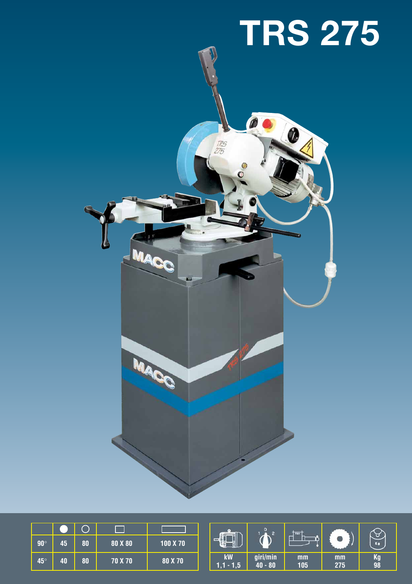

| $90^\circ$ | 45 | 80 | 80 X 80 | 100 X 70 |
|------------|----|----|---------|----------|
| $45^\circ$ | 40 | 80 | 70 X 70 | 80 X 70  |